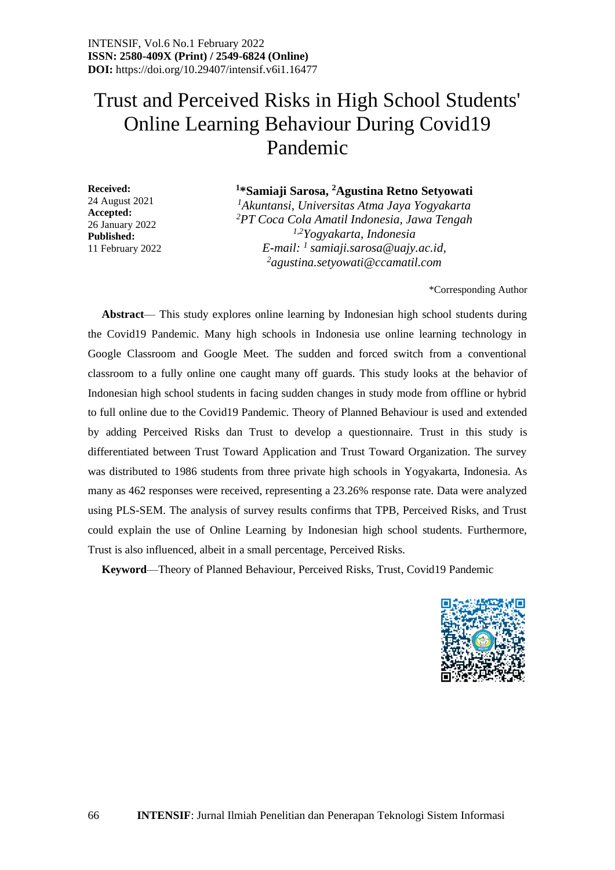# Trust and Perceived Risks in High School Students' Online Learning Behaviour During Covid19 Pandemic

**Received:** 24 August 2021 **Accepted:** 26 January 2022 **Published:** 11 February 2022

### **1 \*Samiaji Sarosa, <sup>2</sup>Agustina Retno Setyowati**

*<sup>1</sup>Akuntansi, Universitas Atma Jaya Yogyakarta <sup>2</sup>PT Coca Cola Amatil Indonesia, Jawa Tengah 1,2Yogyakarta, Indonesia E-mail: <sup>1</sup> samiaji.sarosa@uajy.ac.id, <sup>2</sup>agustina.setyowati@ccamatil.com*

\*Corresponding Author

**Abstract**— This study explores online learning by Indonesian high school students during the Covid19 Pandemic. Many high schools in Indonesia use online learning technology in Google Classroom and Google Meet. The sudden and forced switch from a conventional classroom to a fully online one caught many off guards. This study looks at the behavior of Indonesian high school students in facing sudden changes in study mode from offline or hybrid to full online due to the Covid19 Pandemic. Theory of Planned Behaviour is used and extended by adding Perceived Risks dan Trust to develop a questionnaire. Trust in this study is differentiated between Trust Toward Application and Trust Toward Organization. The survey was distributed to 1986 students from three private high schools in Yogyakarta, Indonesia. As many as 462 responses were received, representing a 23.26% response rate. Data were analyzed using PLS-SEM. The analysis of survey results confirms that TPB, Perceived Risks, and Trust could explain the use of Online Learning by Indonesian high school students. Furthermore, Trust is also influenced, albeit in a small percentage, Perceived Risks.

**Keyword**—Theory of Planned Behaviour, Perceived Risks, Trust, Covid19 Pandemic

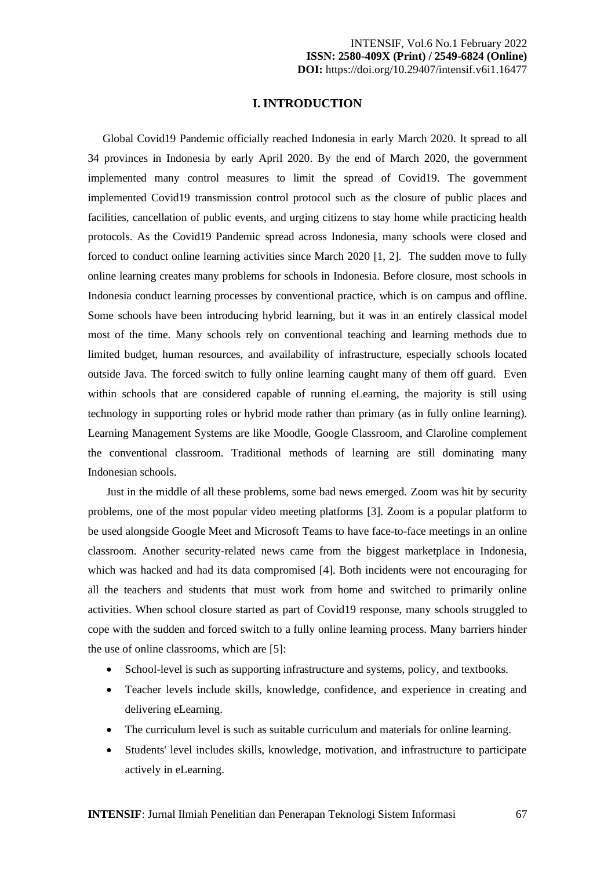#### **I. INTRODUCTION**

Global Covid19 Pandemic officially reached Indonesia in early March 2020. It spread to all 34 provinces in Indonesia by early April 2020. By the end of March 2020, the government implemented many control measures to limit the spread of Covid19. The government implemented Covid19 transmission control protocol such as the closure of public places and facilities, cancellation of public events, and urging citizens to stay home while practicing health protocols. As the Covid19 Pandemic spread across Indonesia, many schools were closed and forced to conduct online learning activities since March 2020 [1, 2]. The sudden move to fully online learning creates many problems for schools in Indonesia. Before closure, most schools in Indonesia conduct learning processes by conventional practice, which is on campus and offline. Some schools have been introducing hybrid learning, but it was in an entirely classical model most of the time. Many schools rely on conventional teaching and learning methods due to limited budget, human resources, and availability of infrastructure, especially schools located outside Java. The forced switch to fully online learning caught many of them off guard. Even within schools that are considered capable of running eLearning, the majority is still using technology in supporting roles or hybrid mode rather than primary (as in fully online learning). Learning Management Systems are like Moodle, Google Classroom, and Claroline complement the conventional classroom. Traditional methods of learning are still dominating many Indonesian schools.

Just in the middle of all these problems, some bad news emerged. Zoom was hit by security problems, one of the most popular video meeting platforms [3]. Zoom is a popular platform to be used alongside Google Meet and Microsoft Teams to have face-to-face meetings in an online classroom. Another security-related news came from the biggest marketplace in Indonesia, which was hacked and had its data compromised [4]. Both incidents were not encouraging for all the teachers and students that must work from home and switched to primarily online activities. When school closure started as part of Covid19 response, many schools struggled to cope with the sudden and forced switch to a fully online learning process. Many barriers hinder the use of online classrooms, which are [5]:

- School-level is such as supporting infrastructure and systems, policy, and textbooks.
- Teacher levels include skills, knowledge, confidence, and experience in creating and delivering eLearning.
- The curriculum level is such as suitable curriculum and materials for online learning.
- Students' level includes skills, knowledge, motivation, and infrastructure to participate actively in eLearning.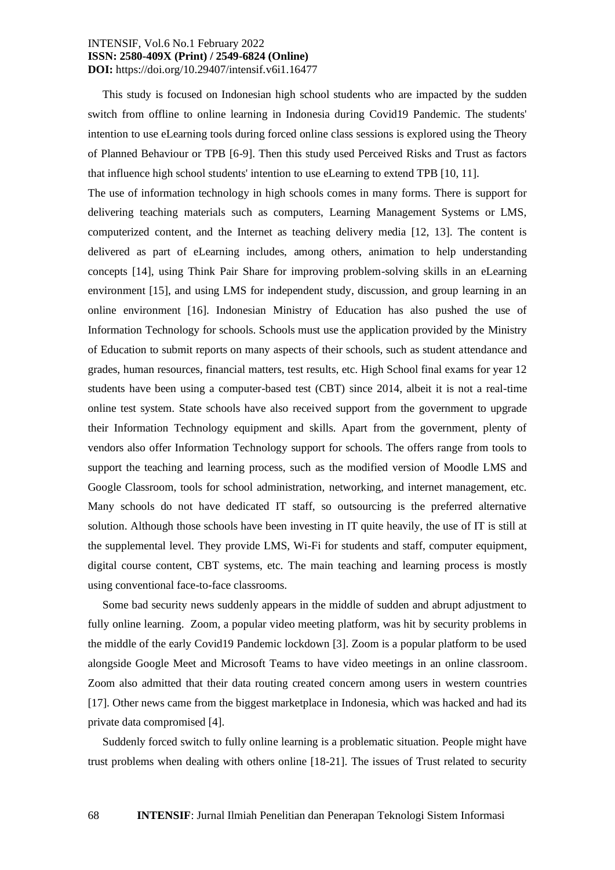This study is focused on Indonesian high school students who are impacted by the sudden switch from offline to online learning in Indonesia during Covid19 Pandemic. The students' intention to use eLearning tools during forced online class sessions is explored using the Theory of Planned Behaviour or TPB [6-9]. Then this study used Perceived Risks and Trust as factors that influence high school students' intention to use eLearning to extend TPB [10, 11].

The use of information technology in high schools comes in many forms. There is support for delivering teaching materials such as computers, Learning Management Systems or LMS, computerized content, and the Internet as teaching delivery media [12, 13]. The content is delivered as part of eLearning includes, among others, animation to help understanding concepts [14], using Think Pair Share for improving problem-solving skills in an eLearning environment [15], and using LMS for independent study, discussion, and group learning in an online environment [16]. Indonesian Ministry of Education has also pushed the use of Information Technology for schools. Schools must use the application provided by the Ministry of Education to submit reports on many aspects of their schools, such as student attendance and grades, human resources, financial matters, test results, etc. High School final exams for year 12 students have been using a computer-based test (CBT) since 2014, albeit it is not a real-time online test system. State schools have also received support from the government to upgrade their Information Technology equipment and skills. Apart from the government, plenty of vendors also offer Information Technology support for schools. The offers range from tools to support the teaching and learning process, such as the modified version of Moodle LMS and Google Classroom, tools for school administration, networking, and internet management, etc. Many schools do not have dedicated IT staff, so outsourcing is the preferred alternative solution. Although those schools have been investing in IT quite heavily, the use of IT is still at the supplemental level. They provide LMS, Wi-Fi for students and staff, computer equipment, digital course content, CBT systems, etc. The main teaching and learning process is mostly using conventional face-to-face classrooms.

Some bad security news suddenly appears in the middle of sudden and abrupt adjustment to fully online learning. Zoom, a popular video meeting platform, was hit by security problems in the middle of the early Covid19 Pandemic lockdown [3]. Zoom is a popular platform to be used alongside Google Meet and Microsoft Teams to have video meetings in an online classroom. Zoom also admitted that their data routing created concern among users in western countries [17]. Other news came from the biggest marketplace in Indonesia, which was hacked and had its private data compromised [4].

Suddenly forced switch to fully online learning is a problematic situation. People might have trust problems when dealing with others online [18-21]. The issues of Trust related to security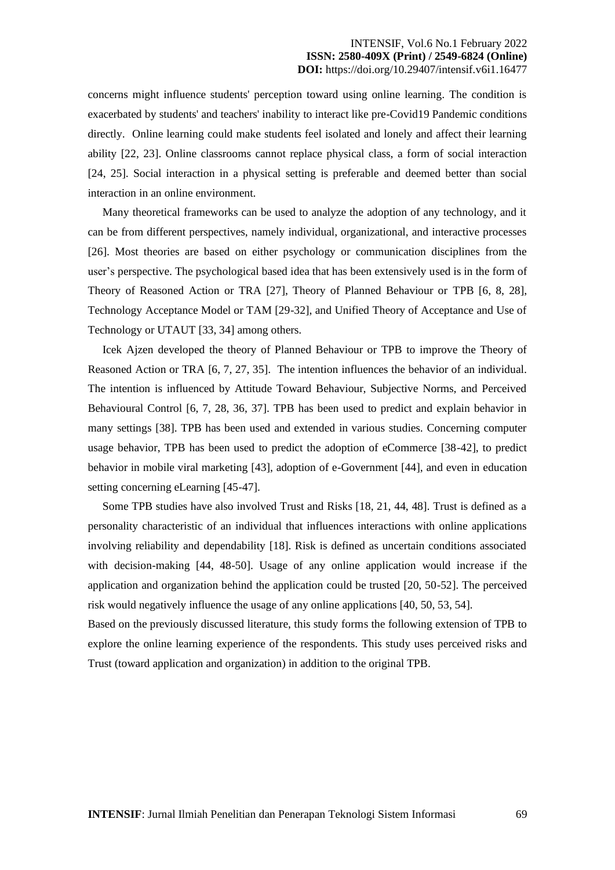concerns might influence students' perception toward using online learning. The condition is exacerbated by students' and teachers' inability to interact like pre-Covid19 Pandemic conditions directly. Online learning could make students feel isolated and lonely and affect their learning ability [22, 23]. Online classrooms cannot replace physical class, a form of social interaction [24, 25]. Social interaction in a physical setting is preferable and deemed better than social interaction in an online environment.

Many theoretical frameworks can be used to analyze the adoption of any technology, and it can be from different perspectives, namely individual, organizational, and interactive processes [26]. Most theories are based on either psychology or communication disciplines from the user's perspective. The psychological based idea that has been extensively used is in the form of Theory of Reasoned Action or TRA [27], Theory of Planned Behaviour or TPB [6, 8, 28], Technology Acceptance Model or TAM [29-32], and Unified Theory of Acceptance and Use of Technology or UTAUT [33, 34] among others.

Icek Ajzen developed the theory of Planned Behaviour or TPB to improve the Theory of Reasoned Action or TRA [6, 7, 27, 35]. The intention influences the behavior of an individual. The intention is influenced by Attitude Toward Behaviour, Subjective Norms, and Perceived Behavioural Control [6, 7, 28, 36, 37]. TPB has been used to predict and explain behavior in many settings [38]. TPB has been used and extended in various studies. Concerning computer usage behavior, TPB has been used to predict the adoption of eCommerce [38-42], to predict behavior in mobile viral marketing [43], adoption of e-Government [44], and even in education setting concerning eLearning [45-47].

Some TPB studies have also involved Trust and Risks [18, 21, 44, 48]. Trust is defined as a personality characteristic of an individual that influences interactions with online applications involving reliability and dependability [18]. Risk is defined as uncertain conditions associated with decision-making [44, 48-50]. Usage of any online application would increase if the application and organization behind the application could be trusted [20, 50-52]. The perceived risk would negatively influence the usage of any online applications [40, 50, 53, 54].

Based on the previously discussed literature, this study forms the following extension of TPB to explore the online learning experience of the respondents. This study uses perceived risks and Trust (toward application and organization) in addition to the original TPB.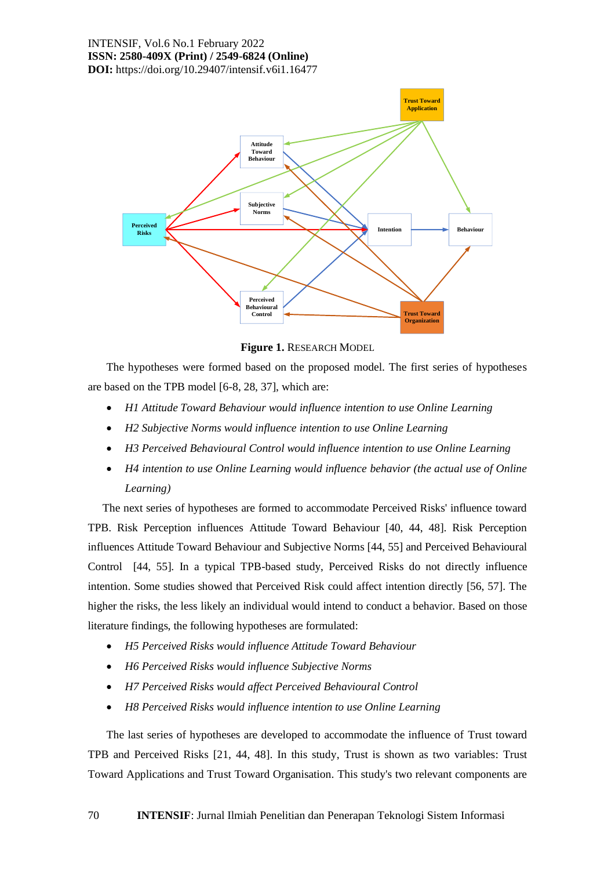

**Figure 1.** RESEARCH MODEL

The hypotheses were formed based on the proposed model. The first series of hypotheses are based on the TPB model [6-8, 28, 37], which are:

- *H1 Attitude Toward Behaviour would influence intention to use Online Learning*
- *H2 Subjective Norms would influence intention to use Online Learning*
- *H3 Perceived Behavioural Control would influence intention to use Online Learning*
- *H4 intention to use Online Learning would influence behavior (the actual use of Online Learning)*

The next series of hypotheses are formed to accommodate Perceived Risks' influence toward TPB. Risk Perception influences Attitude Toward Behaviour [40, 44, 48]. Risk Perception influences Attitude Toward Behaviour and Subjective Norms [44, 55] and Perceived Behavioural Control [44, 55]. In a typical TPB-based study, Perceived Risks do not directly influence intention. Some studies showed that Perceived Risk could affect intention directly [56, 57]. The higher the risks, the less likely an individual would intend to conduct a behavior. Based on those literature findings, the following hypotheses are formulated:

- *H5 Perceived Risks would influence Attitude Toward Behaviour*
- *H6 Perceived Risks would influence Subjective Norms*
- *H7 Perceived Risks would affect Perceived Behavioural Control*
- *H8 Perceived Risks would influence intention to use Online Learning*

The last series of hypotheses are developed to accommodate the influence of Trust toward TPB and Perceived Risks [21, 44, 48]. In this study, Trust is shown as two variables: Trust Toward Applications and Trust Toward Organisation. This study's two relevant components are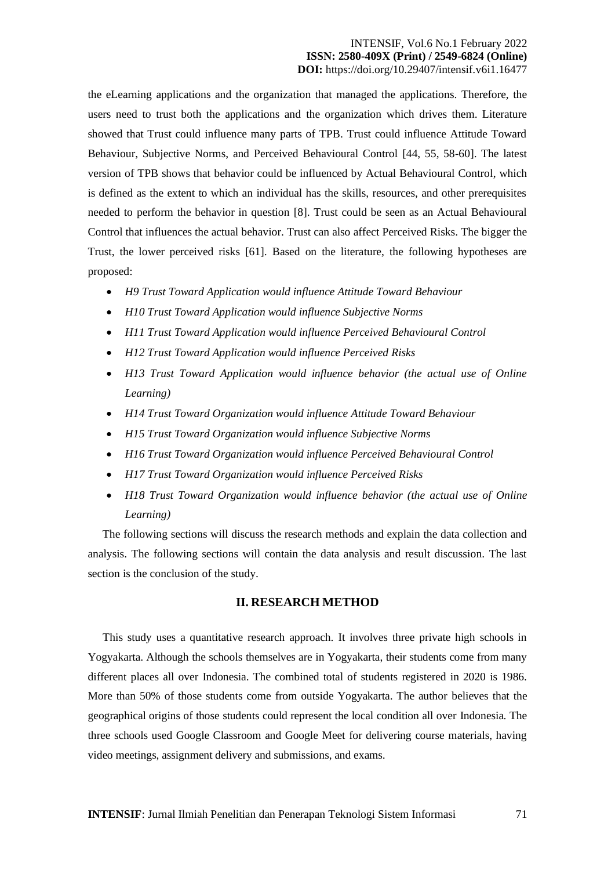the eLearning applications and the organization that managed the applications. Therefore, the users need to trust both the applications and the organization which drives them. Literature showed that Trust could influence many parts of TPB. Trust could influence Attitude Toward Behaviour, Subjective Norms, and Perceived Behavioural Control [44, 55, 58-60]. The latest version of TPB shows that behavior could be influenced by Actual Behavioural Control, which is defined as the extent to which an individual has the skills, resources, and other prerequisites needed to perform the behavior in question [8]. Trust could be seen as an Actual Behavioural Control that influences the actual behavior. Trust can also affect Perceived Risks. The bigger the Trust, the lower perceived risks [61]. Based on the literature, the following hypotheses are proposed:

- *H9 Trust Toward Application would influence Attitude Toward Behaviour*
- *H10 Trust Toward Application would influence Subjective Norms*
- *H11 Trust Toward Application would influence Perceived Behavioural Control*
- *H12 Trust Toward Application would influence Perceived Risks*
- *H13 Trust Toward Application would influence behavior (the actual use of Online Learning)*
- *H14 Trust Toward Organization would influence Attitude Toward Behaviour*
- *H15 Trust Toward Organization would influence Subjective Norms*
- *H16 Trust Toward Organization would influence Perceived Behavioural Control*
- *H17 Trust Toward Organization would influence Perceived Risks*
- *H18 Trust Toward Organization would influence behavior (the actual use of Online Learning)*

The following sections will discuss the research methods and explain the data collection and analysis. The following sections will contain the data analysis and result discussion. The last section is the conclusion of the study.

#### **II. RESEARCH METHOD**

This study uses a quantitative research approach. It involves three private high schools in Yogyakarta. Although the schools themselves are in Yogyakarta, their students come from many different places all over Indonesia. The combined total of students registered in 2020 is 1986. More than 50% of those students come from outside Yogyakarta. The author believes that the geographical origins of those students could represent the local condition all over Indonesia. The three schools used Google Classroom and Google Meet for delivering course materials, having video meetings, assignment delivery and submissions, and exams.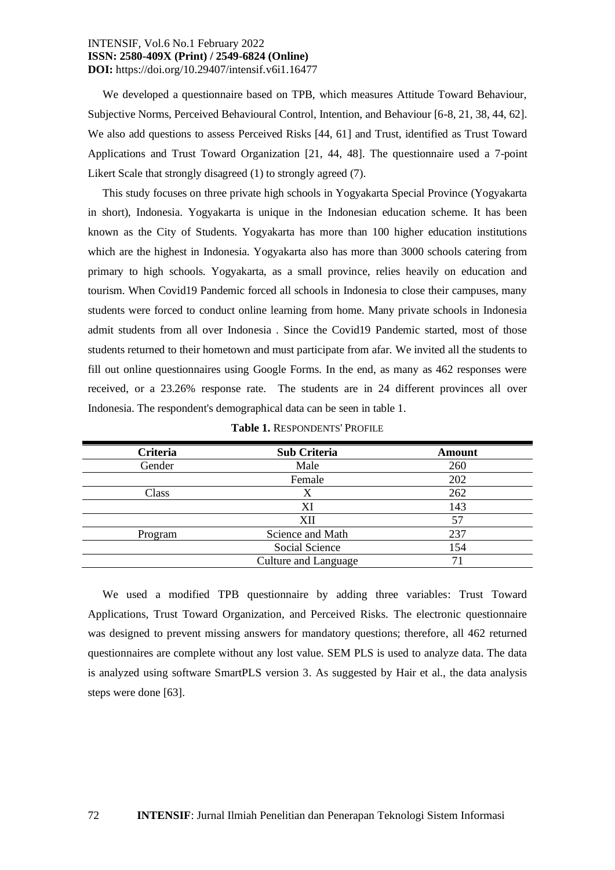We developed a questionnaire based on TPB, which measures Attitude Toward Behaviour, Subjective Norms, Perceived Behavioural Control, Intention, and Behaviour [6-8, 21, 38, 44, 62]. We also add questions to assess Perceived Risks [44, 61] and Trust, identified as Trust Toward Applications and Trust Toward Organization [21, 44, 48]. The questionnaire used a 7-point Likert Scale that strongly disagreed (1) to strongly agreed (7).

This study focuses on three private high schools in Yogyakarta Special Province (Yogyakarta in short), Indonesia. Yogyakarta is unique in the Indonesian education scheme. It has been known as the City of Students. Yogyakarta has more than 100 higher education institutions which are the highest in Indonesia. Yogyakarta also has more than 3000 schools catering from primary to high schools. Yogyakarta, as a small province, relies heavily on education and tourism. When Covid19 Pandemic forced all schools in Indonesia to close their campuses, many students were forced to conduct online learning from home. Many private schools in Indonesia admit students from all over Indonesia . Since the Covid19 Pandemic started, most of those students returned to their hometown and must participate from afar. We invited all the students to fill out online questionnaires using Google Forms. In the end, as many as 462 responses were received, or a 23.26% response rate. The students are in 24 different provinces all over Indonesia. The respondent's demographical data can be seen in table 1.

| <b>Criteria</b> | <b>Sub Criteria</b>         | <b>Amount</b> |
|-----------------|-----------------------------|---------------|
| Gender          | Male                        | 260           |
|                 | Female                      | 202           |
| Class           | Х                           | 262           |
|                 | XI                          | 143           |
|                 | XII                         | 57            |
| Program         | Science and Math            | 237           |
|                 | Social Science              | 154           |
|                 | <b>Culture and Language</b> | 71            |

|  | <b>Table 1. RESPONDENTS' PROFILE</b> |  |
|--|--------------------------------------|--|
|--|--------------------------------------|--|

We used a modified TPB questionnaire by adding three variables: Trust Toward Applications, Trust Toward Organization, and Perceived Risks. The electronic questionnaire was designed to prevent missing answers for mandatory questions; therefore, all 462 returned questionnaires are complete without any lost value. SEM PLS is used to analyze data. The data is analyzed using software SmartPLS version 3. As suggested by Hair et al., the data analysis steps were done [63].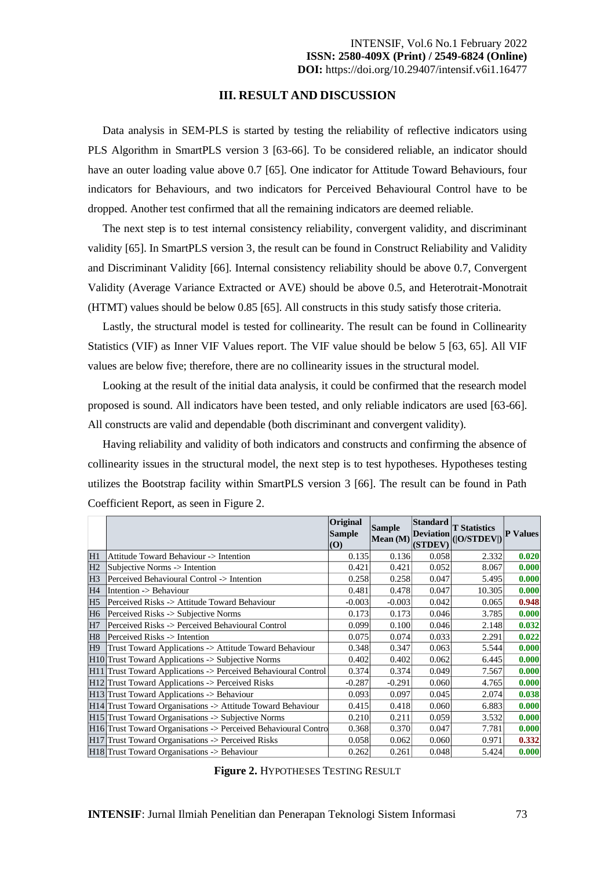#### **III. RESULT AND DISCUSSION**

Data analysis in SEM-PLS is started by testing the reliability of reflective indicators using PLS Algorithm in SmartPLS version 3 [63-66]. To be considered reliable, an indicator should have an outer loading value above 0.7 [65]. One indicator for Attitude Toward Behaviours, four indicators for Behaviours, and two indicators for Perceived Behavioural Control have to be dropped. Another test confirmed that all the remaining indicators are deemed reliable.

The next step is to test internal consistency reliability, convergent validity, and discriminant validity [65]. In SmartPLS version 3, the result can be found in Construct Reliability and Validity and Discriminant Validity [66]. Internal consistency reliability should be above 0.7, Convergent Validity (Average Variance Extracted or AVE) should be above 0.5, and Heterotrait-Monotrait (HTMT) values should be below 0.85 [65]. All constructs in this study satisfy those criteria.

Lastly, the structural model is tested for collinearity. The result can be found in Collinearity Statistics (VIF) as Inner VIF Values report. The VIF value should be below 5 [63, 65]. All VIF values are below five; therefore, there are no collinearity issues in the structural model.

Looking at the result of the initial data analysis, it could be confirmed that the research model proposed is sound. All indicators have been tested, and only reliable indicators are used [63-66]. All constructs are valid and dependable (both discriminant and convergent validity).

Having reliability and validity of both indicators and constructs and confirming the absence of collinearity issues in the structural model, the next step is to test hypotheses. Hypotheses testing utilizes the Bootstrap facility within SmartPLS version 3 [66]. The result can be found in Path Coefficient Report, as seen in Figure 2.

|                |                                                                | <b>Original</b><br>Sample<br>$ (\mathbf{O}) $ | <b>Sample</b><br>Mean (M) | <b>Standard</b><br><b>Deviation</b><br>(STDEV) | <b>T</b> Statistics<br>( O/STDEV ) | <b>P</b> Values |
|----------------|----------------------------------------------------------------|-----------------------------------------------|---------------------------|------------------------------------------------|------------------------------------|-----------------|
| H1             | Attitude Toward Behaviour -> Intention                         | 0.135                                         | 0.136                     | 0.058                                          | 2.332                              | 0.020           |
| H2             | Subjective Norms -> Intention                                  | 0.421                                         | 0.421                     | 0.052                                          | 8.067                              | 0.000           |
| H <sub>3</sub> | Perceived Behavioural Control -> Intention                     | 0.258                                         | 0.258                     | 0.047                                          | 5.495                              | 0.000           |
| H <sub>4</sub> | Intention -> Behaviour                                         | 0.481                                         | 0.478                     | 0.047                                          | 10.305                             | 0.000           |
| H <sub>5</sub> | Perceived Risks -> Attitude Toward Behaviour                   | $-0.003$                                      | $-0.003$                  | 0.042                                          | 0.065                              | 0.948           |
| H <sub>6</sub> | Perceived Risks -> Subjective Norms                            | 0.173                                         | 0.173                     | 0.046                                          | 3.785                              | 0.000           |
| H7             | Perceived Risks -> Perceived Behavioural Control               | 0.099                                         | 0.100                     | 0.046                                          | 2.148                              | 0.032           |
| H <sub>8</sub> | Perceived Risks -> Intention                                   | 0.075                                         | 0.074                     | 0.033                                          | 2.291                              | 0.022           |
| H <sub>9</sub> | Trust Toward Applications -> Attitude Toward Behaviour         | 0.348                                         | 0.347                     | 0.063                                          | 5.544                              | 0.000           |
|                | H10 Trust Toward Applications -> Subjective Norms              | 0.402                                         | 0.402                     | 0.062                                          | 6.445                              | 0.000           |
|                | H11 Trust Toward Applications -> Perceived Behavioural Control | 0.374                                         | 0.374                     | 0.049                                          | 7.567                              | 0.000           |
|                | H12 Trust Toward Applications -> Perceived Risks               | $-0.287$                                      | $-0.291$                  | 0.060                                          | 4.765                              | 0.000           |
|                | H13 Trust Toward Applications -> Behaviour                     | 0.093                                         | 0.097                     | 0.045                                          | 2.074                              | 0.038           |
|                | H14 Trust Toward Organisations -> Attitude Toward Behaviour    | 0.415                                         | 0.418                     | 0.060                                          | 6.883                              | 0.000           |
|                | H15 Trust Toward Organisations -> Subjective Norms             | 0.210                                         | 0.211                     | 0.059                                          | 3.532                              | 0.000           |
|                | H16 Trust Toward Organisations -> Perceived Behavioural Contro | 0.368                                         | 0.370                     | 0.047                                          | 7.781                              | 0.000           |
|                | H17 Trust Toward Organisations -> Perceived Risks              | 0.058                                         | 0.062                     | 0.060                                          | 0.971                              | 0.332           |
|                | H18 Trust Toward Organisations -> Behaviour                    | 0.262                                         | 0.261                     | 0.048                                          | 5.424                              | 0.000           |

**Figure 2.** HYPOTHESES TESTING RESULT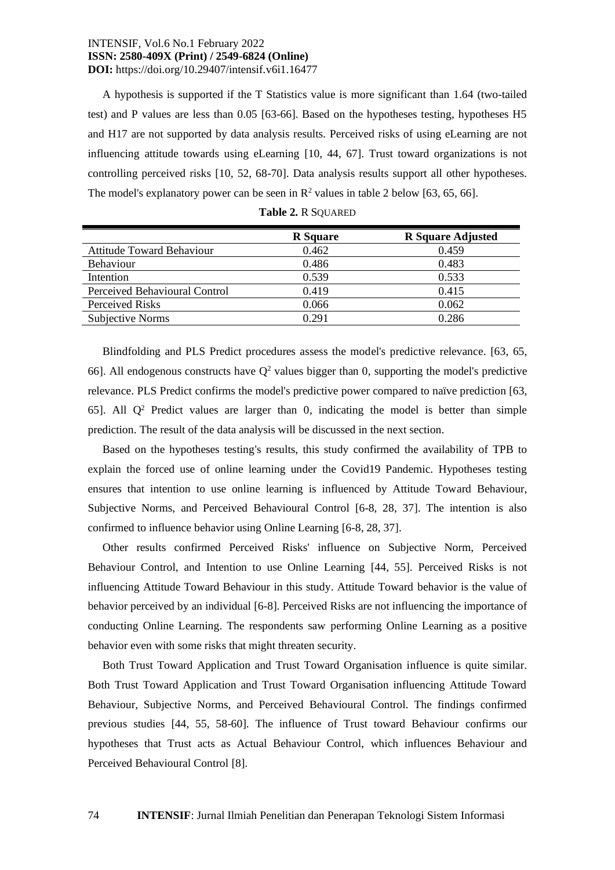A hypothesis is supported if the T Statistics value is more significant than 1.64 (two-tailed test) and P values are less than 0.05 [63-66]. Based on the hypotheses testing, hypotheses H5 and H17 are not supported by data analysis results. Perceived risks of using eLearning are not influencing attitude towards using eLearning [10, 44, 67]. Trust toward organizations is not controlling perceived risks [10, 52, 68-70]. Data analysis results support all other hypotheses. The model's explanatory power can be seen in  $\mathbb{R}^2$  values in table 2 below [63, 65, 66].

|                                  | <b>R</b> Square | <b>R</b> Square Adjusted |
|----------------------------------|-----------------|--------------------------|
| <b>Attitude Toward Behaviour</b> | 0.462           | 0.459                    |
| <b>Behaviour</b>                 | 0.486           | 0.483                    |
| Intention                        | 0.539           | 0.533                    |
| Perceived Behavioural Control    | 0.419           | 0.415                    |
| Perceived Risks                  | 0.066           | 0.062                    |
| Subjective Norms                 | 0.291           | 0.286                    |

|  | <b>Table 2. R SQUARED</b> |
|--|---------------------------|
|--|---------------------------|

Blindfolding and PLS Predict procedures assess the model's predictive relevance. [63, 65, 66]. All endogenous constructs have  $Q^2$  values bigger than 0, supporting the model's predictive relevance. PLS Predict confirms the model's predictive power compared to naïve prediction [63, 65]. All  $Q^2$  Predict values are larger than 0, indicating the model is better than simple prediction. The result of the data analysis will be discussed in the next section.

Based on the hypotheses testing's results, this study confirmed the availability of TPB to explain the forced use of online learning under the Covid19 Pandemic. Hypotheses testing ensures that intention to use online learning is influenced by Attitude Toward Behaviour, Subjective Norms, and Perceived Behavioural Control [6-8, 28, 37]. The intention is also confirmed to influence behavior using Online Learning [6-8, 28, 37].

Other results confirmed Perceived Risks' influence on Subjective Norm, Perceived Behaviour Control, and Intention to use Online Learning [44, 55]. Perceived Risks is not influencing Attitude Toward Behaviour in this study. Attitude Toward behavior is the value of behavior perceived by an individual [6-8]. Perceived Risks are not influencing the importance of conducting Online Learning. The respondents saw performing Online Learning as a positive behavior even with some risks that might threaten security.

Both Trust Toward Application and Trust Toward Organisation influence is quite similar. Both Trust Toward Application and Trust Toward Organisation influencing Attitude Toward Behaviour, Subjective Norms, and Perceived Behavioural Control. The findings confirmed previous studies [44, 55, 58-60]. The influence of Trust toward Behaviour confirms our hypotheses that Trust acts as Actual Behaviour Control, which influences Behaviour and Perceived Behavioural Control [8].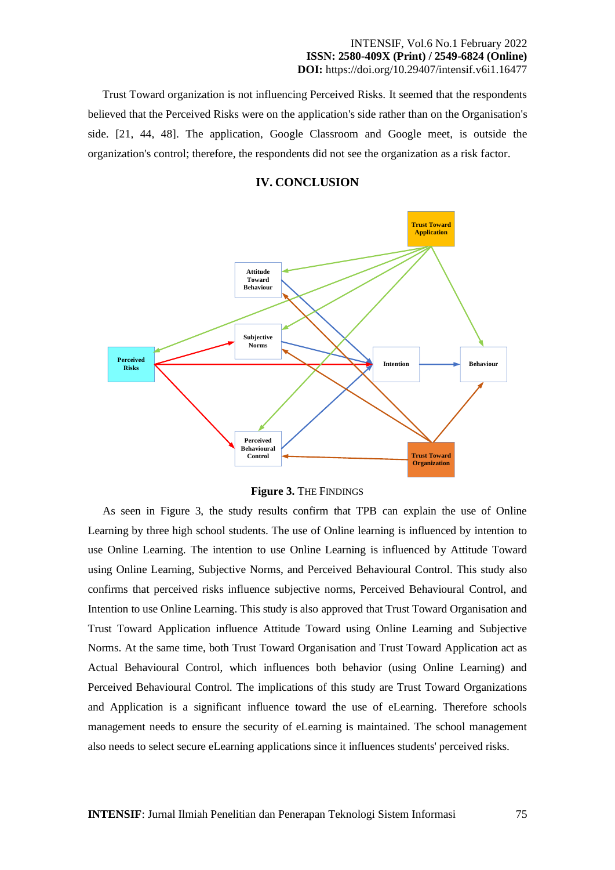Trust Toward organization is not influencing Perceived Risks. It seemed that the respondents believed that the Perceived Risks were on the application's side rather than on the Organisation's side. [21, 44, 48]. The application, Google Classroom and Google meet, is outside the organization's control; therefore, the respondents did not see the organization as a risk factor.





**Figure 3.** THE FINDINGS

As seen in Figure 3, the study results confirm that TPB can explain the use of Online Learning by three high school students. The use of Online learning is influenced by intention to use Online Learning. The intention to use Online Learning is influenced by Attitude Toward using Online Learning, Subjective Norms, and Perceived Behavioural Control. This study also confirms that perceived risks influence subjective norms, Perceived Behavioural Control, and Intention to use Online Learning. This study is also approved that Trust Toward Organisation and Trust Toward Application influence Attitude Toward using Online Learning and Subjective Norms. At the same time, both Trust Toward Organisation and Trust Toward Application act as Actual Behavioural Control, which influences both behavior (using Online Learning) and Perceived Behavioural Control. The implications of this study are Trust Toward Organizations and Application is a significant influence toward the use of eLearning. Therefore schools management needs to ensure the security of eLearning is maintained. The school management also needs to select secure eLearning applications since it influences students' perceived risks.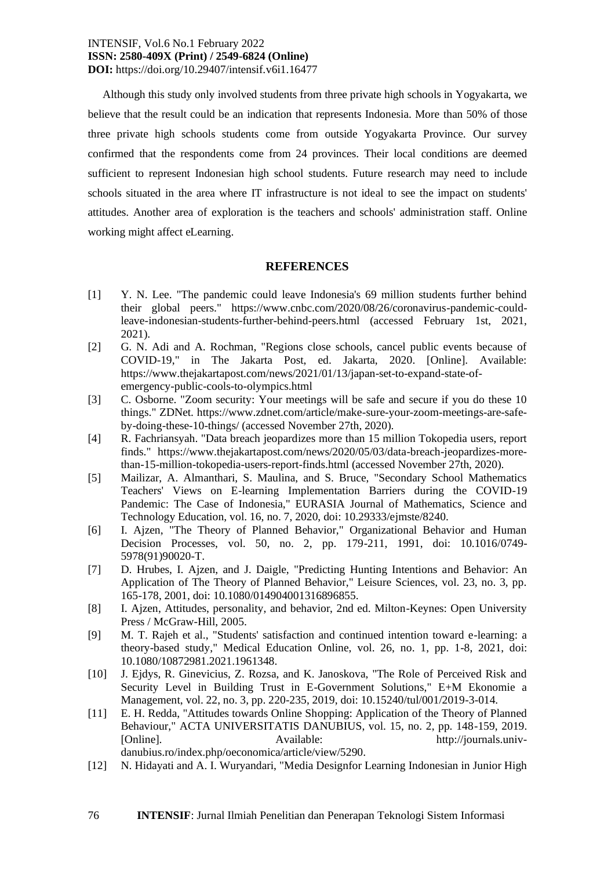Although this study only involved students from three private high schools in Yogyakarta, we believe that the result could be an indication that represents Indonesia. More than 50% of those three private high schools students come from outside Yogyakarta Province. Our survey confirmed that the respondents come from 24 provinces. Their local conditions are deemed sufficient to represent Indonesian high school students. Future research may need to include schools situated in the area where IT infrastructure is not ideal to see the impact on students' attitudes. Another area of exploration is the teachers and schools' administration staff. Online working might affect eLearning.

#### **REFERENCES**

- [1] Y. N. Lee. "The pandemic could leave Indonesia's 69 million students further behind their global peers." https://www.cnbc.com/2020/08/26/coronavirus-pandemic-couldleave-indonesian-students-further-behind-peers.html (accessed February 1st, 2021, 2021).
- [2] G. N. Adi and A. Rochman, "Regions close schools, cancel public events because of COVID-19," in The Jakarta Post, ed. Jakarta, 2020. [Online]. Available: https://www.thejakartapost.com/news/2021/01/13/japan-set-to-expand-state-ofemergency-public-cools-to-olympics.html
- [3] C. Osborne. "Zoom security: Your meetings will be safe and secure if you do these 10 things." ZDNet. https://www.zdnet.com/article/make-sure-your-zoom-meetings-are-safeby-doing-these-10-things/ (accessed November 27th, 2020).
- [4] R. Fachriansyah. "Data breach jeopardizes more than 15 million Tokopedia users, report finds." https://www.thejakartapost.com/news/2020/05/03/data-breach-jeopardizes-morethan-15-million-tokopedia-users-report-finds.html (accessed November 27th, 2020).
- [5] Mailizar, A. Almanthari, S. Maulina, and S. Bruce, "Secondary School Mathematics Teachers' Views on E-learning Implementation Barriers during the COVID-19 Pandemic: The Case of Indonesia," EURASIA Journal of Mathematics, Science and Technology Education, vol. 16, no. 7, 2020, doi: 10.29333/ejmste/8240.
- [6] I. Ajzen, "The Theory of Planned Behavior," Organizational Behavior and Human Decision Processes, vol. 50, no. 2, pp. 179-211, 1991, doi: 10.1016/0749- 5978(91)90020-T.
- [7] D. Hrubes, I. Ajzen, and J. Daigle, "Predicting Hunting Intentions and Behavior: An Application of The Theory of Planned Behavior," Leisure Sciences, vol. 23, no. 3, pp. 165-178, 2001, doi: 10.1080/014904001316896855.
- [8] I. Ajzen, Attitudes, personality, and behavior, 2nd ed. Milton-Keynes: Open University Press / McGraw-Hill, 2005.
- [9] M. T. Rajeh et al., "Students' satisfaction and continued intention toward e-learning: a theory-based study," Medical Education Online, vol. 26, no. 1, pp. 1-8, 2021, doi: 10.1080/10872981.2021.1961348.
- [10] J. Ejdys, R. Ginevicius, Z. Rozsa, and K. Janoskova, "The Role of Perceived Risk and Security Level in Building Trust in E-Government Solutions," E+M Ekonomie a Management, vol. 22, no. 3, pp. 220-235, 2019, doi: 10.15240/tul/001/2019-3-014.
- [11] E. H. Redda, "Attitudes towards Online Shopping: Application of the Theory of Planned Behaviour," ACTA UNIVERSITATIS DANUBIUS, vol. 15, no. 2, pp. 148-159, 2019. [Online]. Available: http://journals.univdanubius.ro/index.php/oeconomica/article/view/5290.
- [12] N. Hidayati and A. I. Wuryandari, "Media Designfor Learning Indonesian in Junior High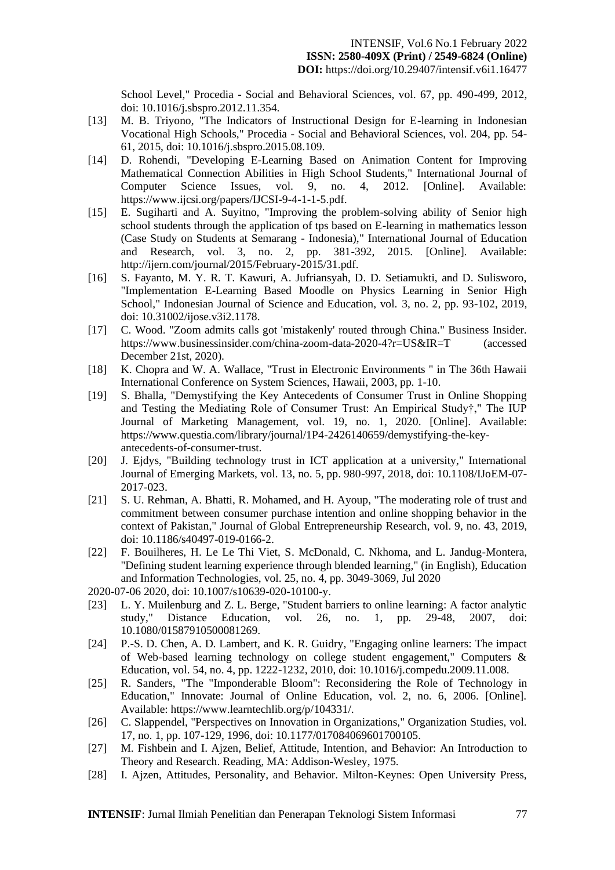School Level," Procedia - Social and Behavioral Sciences, vol. 67, pp. 490-499, 2012, doi: 10.1016/j.sbspro.2012.11.354.

- [13] M. B. Triyono, "The Indicators of Instructional Design for E-learning in Indonesian Vocational High Schools," Procedia - Social and Behavioral Sciences, vol. 204, pp. 54- 61, 2015, doi: 10.1016/j.sbspro.2015.08.109.
- [14] D. Rohendi, "Developing E-Learning Based on Animation Content for Improving Mathematical Connection Abilities in High School Students," International Journal of Computer Science Issues, vol. 9, no. 4, 2012. [Online]. Available: https://www.ijcsi.org/papers/IJCSI-9-4-1-1-5.pdf.
- [15] E. Sugiharti and A. Suyitno, "Improving the problem-solving ability of Senior high school students through the application of tps based on E-learning in mathematics lesson (Case Study on Students at Semarang - Indonesia)," International Journal of Education and Research, vol. 3, no. 2, pp. 381-392, 2015. [Online]. Available: http://ijern.com/journal/2015/February-2015/31.pdf.
- [16] S. Fayanto, M. Y. R. T. Kawuri, A. Jufriansyah, D. D. Setiamukti, and D. Sulisworo, "Implementation E-Learning Based Moodle on Physics Learning in Senior High School," Indonesian Journal of Science and Education, vol. 3, no. 2, pp. 93-102, 2019, doi: 10.31002/ijose.v3i2.1178.
- [17] C. Wood. "Zoom admits calls got 'mistakenly' routed through China." Business Insider. https://www.businessinsider.com/china-zoom-data-2020-4?r=US&IR=T (accessed December 21st, 2020).
- [18] K. Chopra and W. A. Wallace, "Trust in Electronic Environments " in The 36th Hawaii International Conference on System Sciences, Hawaii, 2003, pp. 1-10.
- [19] S. Bhalla, "Demystifying the Key Antecedents of Consumer Trust in Online Shopping and Testing the Mediating Role of Consumer Trust: An Empirical Study†," The IUP Journal of Marketing Management, vol. 19, no. 1, 2020. [Online]. Available: https://www.questia.com/library/journal/1P4-2426140659/demystifying-the-keyantecedents-of-consumer-trust.
- [20] J. Ejdys, "Building technology trust in ICT application at a university," International Journal of Emerging Markets, vol. 13, no. 5, pp. 980-997, 2018, doi: 10.1108/IJoEM-07- 2017-023.
- [21] S. U. Rehman, A. Bhatti, R. Mohamed, and H. Ayoup, "The moderating role of trust and commitment between consumer purchase intention and online shopping behavior in the context of Pakistan," Journal of Global Entrepreneurship Research, vol. 9, no. 43, 2019, doi: 10.1186/s40497-019-0166-2.
- [22] F. Bouilheres, H. Le Le Thi Viet, S. McDonald, C. Nkhoma, and L. Jandug-Montera, "Defining student learning experience through blended learning," (in English), Education and Information Technologies, vol. 25, no. 4, pp. 3049-3069, Jul 2020
- 2020-07-06 2020, doi: 10.1007/s10639-020-10100-y.
- [23] L. Y. Muilenburg and Z. L. Berge, "Student barriers to online learning: A factor analytic study," Distance Education, vol. 26, no. 1, pp. 29-48, 2007, doi: 10.1080/01587910500081269.
- [24] P.-S. D. Chen, A. D. Lambert, and K. R. Guidry, "Engaging online learners: The impact of Web-based learning technology on college student engagement," Computers & Education, vol. 54, no. 4, pp. 1222-1232, 2010, doi: 10.1016/j.compedu.2009.11.008.
- [25] R. Sanders, "The "Imponderable Bloom": Reconsidering the Role of Technology in Education," Innovate: Journal of Online Education, vol. 2, no. 6, 2006. [Online]. Available: https://www.learntechlib.org/p/104331/.
- [26] C. Slappendel, "Perspectives on Innovation in Organizations," Organization Studies, vol. 17, no. 1, pp. 107-129, 1996, doi: 10.1177/017084069601700105.
- [27] M. Fishbein and I. Ajzen, Belief, Attitude, Intention, and Behavior: An Introduction to Theory and Research. Reading, MA: Addison-Wesley, 1975.
- [28] I. Ajzen, Attitudes, Personality, and Behavior. Milton-Keynes: Open University Press,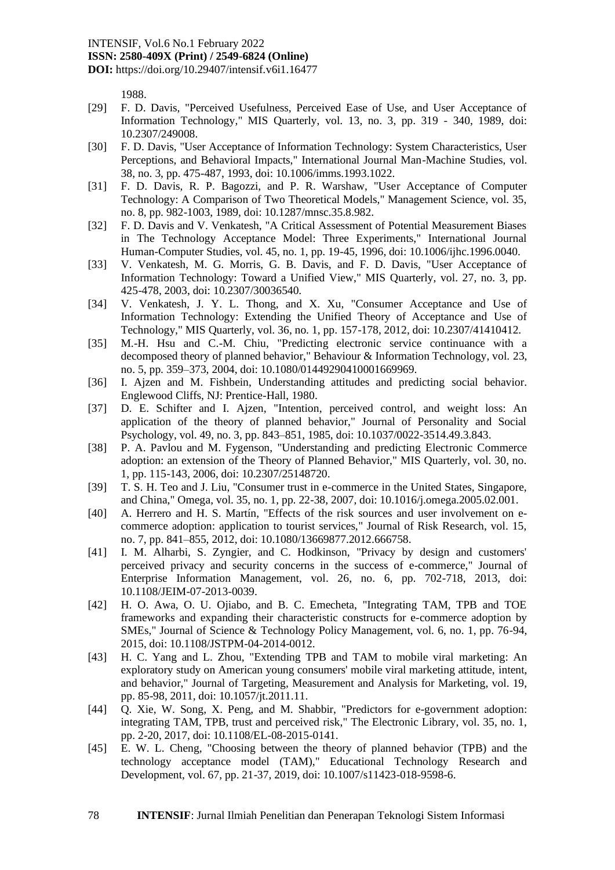#### INTENSIF, Vol.6 No.1 February 2022

## **ISSN: 2580-409X (Print) / 2549-6824 (Online)**

**DOI:** https://doi.org/10.29407/intensif.v6i1.16477

1988.

- [29] F. D. Davis, "Perceived Usefulness, Perceived Ease of Use, and User Acceptance of Information Technology," MIS Quarterly, vol. 13, no. 3, pp. 319 - 340, 1989, doi: 10.2307/249008.
- [30] F. D. Davis, "User Acceptance of Information Technology: System Characteristics, User Perceptions, and Behavioral Impacts," International Journal Man-Machine Studies, vol. 38, no. 3, pp. 475-487, 1993, doi: 10.1006/imms.1993.1022.
- [31] F. D. Davis, R. P. Bagozzi, and P. R. Warshaw, "User Acceptance of Computer Technology: A Comparison of Two Theoretical Models," Management Science, vol. 35, no. 8, pp. 982-1003, 1989, doi: 10.1287/mnsc.35.8.982.
- [32] F. D. Davis and V. Venkatesh, "A Critical Assessment of Potential Measurement Biases in The Technology Acceptance Model: Three Experiments," International Journal Human-Computer Studies, vol. 45, no. 1, pp. 19-45, 1996, doi: 10.1006/ijhc.1996.0040.
- [33] V. Venkatesh, M. G. Morris, G. B. Davis, and F. D. Davis, "User Acceptance of Information Technology: Toward a Unified View," MIS Quarterly, vol. 27, no. 3, pp. 425-478, 2003, doi: 10.2307/30036540.
- [34] V. Venkatesh, J. Y. L. Thong, and X. Xu, "Consumer Acceptance and Use of Information Technology: Extending the Unified Theory of Acceptance and Use of Technology," MIS Quarterly, vol. 36, no. 1, pp. 157-178, 2012, doi: 10.2307/41410412.
- [35] M.-H. Hsu and C.-M. Chiu, "Predicting electronic service continuance with a decomposed theory of planned behavior," Behaviour & Information Technology, vol. 23, no. 5, pp. 359–373, 2004, doi: 10.1080/01449290410001669969.
- [36] I. Aizen and M. Fishbein, Understanding attitudes and predicting social behavior. Englewood Cliffs, NJ: Prentice-Hall, 1980.
- [37] D. E. Schifter and I. Ajzen, "Intention, perceived control, and weight loss: An application of the theory of planned behavior," Journal of Personality and Social Psychology, vol. 49, no. 3, pp. 843–851, 1985, doi: 10.1037/0022-3514.49.3.843.
- [38] P. A. Pavlou and M. Fygenson, "Understanding and predicting Electronic Commerce adoption: an extension of the Theory of Planned Behavior," MIS Quarterly, vol. 30, no. 1, pp. 115-143, 2006, doi: 10.2307/25148720.
- [39] T. S. H. Teo and J. Liu, "Consumer trust in e-commerce in the United States, Singapore, and China," Omega, vol. 35, no. 1, pp. 22-38, 2007, doi: 10.1016/j.omega.2005.02.001.
- [40] A. Herrero and H. S. Martín, "Effects of the risk sources and user involvement on ecommerce adoption: application to tourist services," Journal of Risk Research, vol. 15, no. 7, pp. 841–855, 2012, doi: 10.1080/13669877.2012.666758.
- [41] I. M. Alharbi, S. Zyngier, and C. Hodkinson, "Privacy by design and customers' perceived privacy and security concerns in the success of e-commerce," Journal of Enterprise Information Management, vol. 26, no. 6, pp. 702-718, 2013, doi: 10.1108/JEIM-07-2013-0039.
- [42] H. O. Awa, O. U. Ojiabo, and B. C. Emecheta, "Integrating TAM, TPB and TOE frameworks and expanding their characteristic constructs for e-commerce adoption by SMEs," Journal of Science & Technology Policy Management, vol. 6, no. 1, pp. 76-94, 2015, doi: 10.1108/JSTPM-04-2014-0012.
- [43] H. C. Yang and L. Zhou, "Extending TPB and TAM to mobile viral marketing: An exploratory study on American young consumers' mobile viral marketing attitude, intent, and behavior," Journal of Targeting, Measurement and Analysis for Marketing, vol. 19, pp. 85-98, 2011, doi: 10.1057/jt.2011.11.
- [44] Q. Xie, W. Song, X. Peng, and M. Shabbir, "Predictors for e-government adoption: integrating TAM, TPB, trust and perceived risk," The Electronic Library, vol. 35, no. 1, pp. 2-20, 2017, doi: 10.1108/EL-08-2015-0141.
- [45] E. W. L. Cheng, "Choosing between the theory of planned behavior (TPB) and the technology acceptance model (TAM)," Educational Technology Research and Development, vol. 67, pp. 21-37, 2019, doi: 10.1007/s11423-018-9598-6.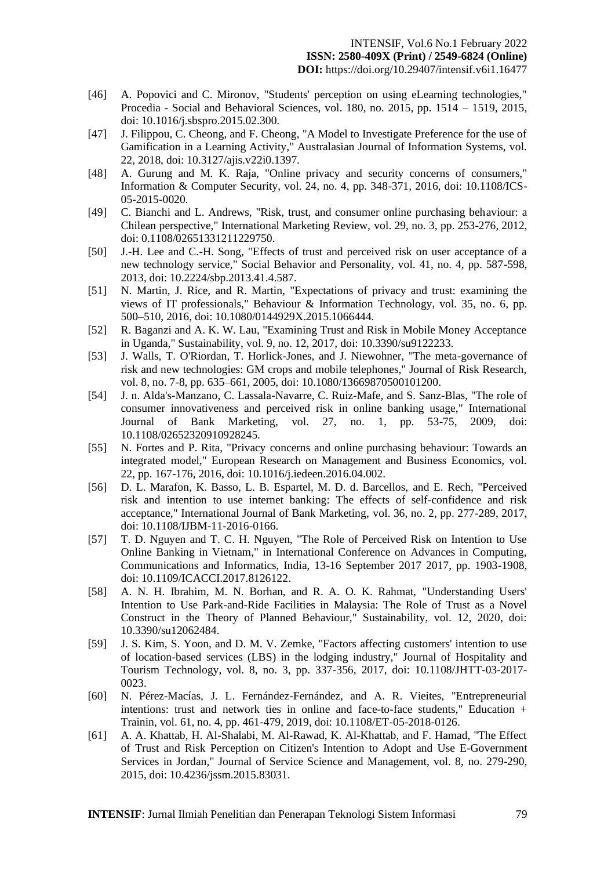- [46] A. Popovici and C. Mironov, "Students' perception on using eLearning technologies," Procedia - Social and Behavioral Sciences, vol. 180, no. 2015, pp. 1514 – 1519, 2015, doi: 10.1016/j.sbspro.2015.02.300.
- [47] J. Filippou, C. Cheong, and F. Cheong, "A Model to Investigate Preference for the use of Gamification in a Learning Activity," Australasian Journal of Information Systems, vol. 22, 2018, doi: 10.3127/ajis.v22i0.1397.
- [48] A. Gurung and M. K. Raja, "Online privacy and security concerns of consumers," Information & Computer Security, vol. 24, no. 4, pp. 348-371, 2016, doi: 10.1108/ICS-05-2015-0020.
- [49] C. Bianchi and L. Andrews, "Risk, trust, and consumer online purchasing behaviour: a Chilean perspective," International Marketing Review, vol. 29, no. 3, pp. 253-276, 2012, doi: 0.1108/02651331211229750.
- [50] J.-H. Lee and C.-H. Song, "Effects of trust and perceived risk on user acceptance of a new technology service," Social Behavior and Personality, vol. 41, no. 4, pp. 587-598, 2013, doi: 10.2224/sbp.2013.41.4.587.
- [51] N. Martin, J. Rice, and R. Martin, "Expectations of privacy and trust: examining the views of IT professionals," Behaviour & Information Technology, vol. 35, no. 6, pp. 500–510, 2016, doi: 10.1080/0144929X.2015.1066444.
- [52] R. Baganzi and A. K. W. Lau, "Examining Trust and Risk in Mobile Money Acceptance in Uganda," Sustainability, vol. 9, no. 12, 2017, doi: 10.3390/su9122233.
- [53] J. Walls, T. O'Riordan, T. Horlick-Jones, and J. Niewohner, "The meta-governance of risk and new technologies: GM crops and mobile telephones," Journal of Risk Research, vol. 8, no. 7-8, pp. 635–661, 2005, doi: 10.1080/13669870500101200.
- [54] J. n. Alda's-Manzano, C. Lassala-Navarre, C. Ruiz-Mafe, and S. Sanz-Blas, "The role of consumer innovativeness and perceived risk in online banking usage," International Journal of Bank Marketing, vol. 27, no. 1, pp. 53-75, 2009, doi: 10.1108/02652320910928245.
- [55] N. Fortes and P. Rita, "Privacy concerns and online purchasing behaviour: Towards an integrated model," European Research on Management and Business Economics, vol. 22, pp. 167-176, 2016, doi: 10.1016/j.iedeen.2016.04.002.
- [56] D. L. Marafon, K. Basso, L. B. Espartel, M. D. d. Barcellos, and E. Rech, "Perceived risk and intention to use internet banking: The effects of self-confidence and risk acceptance," International Journal of Bank Marketing, vol. 36, no. 2, pp. 277-289, 2017, doi: 10.1108/IJBM-11-2016-0166.
- [57] T. D. Nguyen and T. C. H. Nguyen, "The Role of Perceived Risk on Intention to Use Online Banking in Vietnam," in International Conference on Advances in Computing, Communications and Informatics, India, 13-16 September 2017 2017, pp. 1903-1908, doi: 10.1109/ICACCI.2017.8126122.
- [58] A. N. H. Ibrahim, M. N. Borhan, and R. A. O. K. Rahmat, "Understanding Users' Intention to Use Park-and-Ride Facilities in Malaysia: The Role of Trust as a Novel Construct in the Theory of Planned Behaviour," Sustainability, vol. 12, 2020, doi: 10.3390/su12062484.
- [59] J. S. Kim, S. Yoon, and D. M. V. Zemke, "Factors affecting customers' intention to use of location-based services (LBS) in the lodging industry," Journal of Hospitality and Tourism Technology, vol. 8, no. 3, pp. 337-356, 2017, doi: 10.1108/JHTT-03-2017- 0023.
- [60] N. Pérez-Macías, J. L. Fernández-Fernández, and A. R. Vieites, "Entrepreneurial intentions: trust and network ties in online and face-to-face students," Education + Trainin, vol. 61, no. 4, pp. 461-479, 2019, doi: 10.1108/ET-05-2018-0126.
- [61] A. A. Khattab, H. Al-Shalabi, M. Al-Rawad, K. Al-Khattab, and F. Hamad, "The Effect of Trust and Risk Perception on Citizen's Intention to Adopt and Use E-Government Services in Jordan," Journal of Service Science and Management, vol. 8, no. 279-290, 2015, doi: 10.4236/jssm.2015.83031.